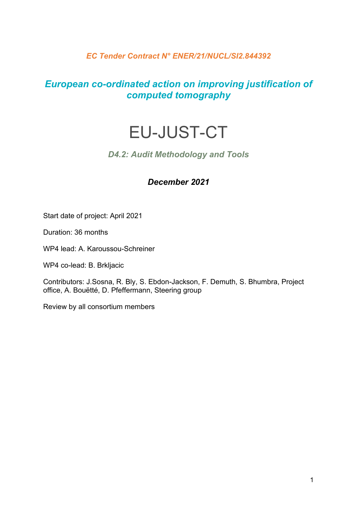## *EC Tender Contract N° ENER/21/NUCL/SI2.844392*

## *European co-ordinated action on improving justification of computed tomography*

# EU-JUST-CT

## *D4.2: Audit Methodology and Tools*

#### *December 2021*

Start date of project: April 2021

Duration: 36 months

WP4 lead: A. Karoussou-Schreiner

WP4 co-lead: B. Brkljacic

Contributors: J.Sosna, R. Bly, S. Ebdon-Jackson, F. Demuth, S. Bhumbra, Project office, A. Bouëtté, D. Pfeffermann, Steering group

Review by all consortium members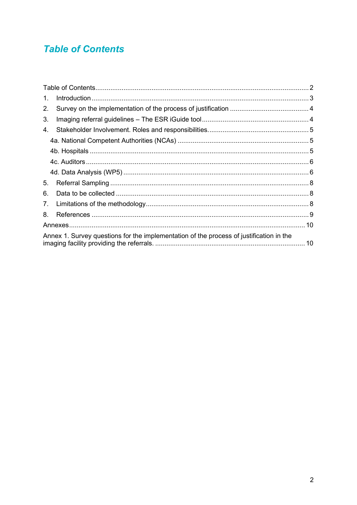## <span id="page-1-0"></span>**Table of Contents**

| 1.                                                                                      |  |
|-----------------------------------------------------------------------------------------|--|
| 2.                                                                                      |  |
| 3.                                                                                      |  |
| 4.                                                                                      |  |
|                                                                                         |  |
|                                                                                         |  |
|                                                                                         |  |
|                                                                                         |  |
| 5.                                                                                      |  |
| 6.                                                                                      |  |
| 7.                                                                                      |  |
| 8.                                                                                      |  |
|                                                                                         |  |
| Annex 1. Survey questions for the implementation of the process of justification in the |  |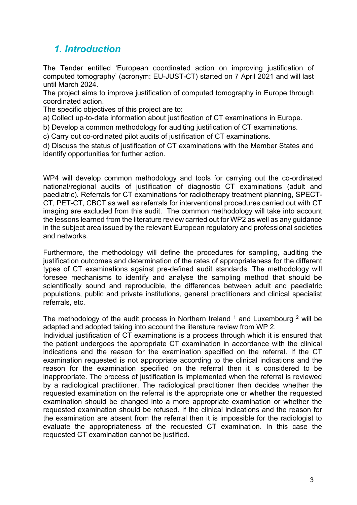## <span id="page-2-0"></span>*1. Introduction*

The Tender entitled 'European coordinated action on improving justification of computed tomography' (acronym: EU-JUST-CT) started on 7 April 2021 and will last until March 2024.

The project aims to improve justification of computed tomography in Europe through coordinated action.

The specific objectives of this project are to:

a) Collect up-to-date information about justification of CT examinations in Europe.

b) Develop a common methodology for auditing justification of CT examinations.

c) Carry out co-ordinated pilot audits of justification of CT examinations.

d) Discuss the status of justification of CT examinations with the Member States and identify opportunities for further action.

WP4 will develop common methodology and tools for carrying out the co-ordinated national/regional audits of justification of diagnostic CT examinations (adult and paediatric). Referrals for CT examinations for radiotherapy treatment planning, SPECT-CT, PET-CT, CBCT as well as referrals for interventional procedures carried out with CT imaging are excluded from this audit. The common methodology will take into account the lessons learned from the literature review carried out for WP2 as well as any guidance in the subject area issued by the relevant European regulatory and professional societies and networks.

Furthermore, the methodology will define the procedures for sampling, auditing the justification outcomes and determination of the rates of appropriateness for the different types of CT examinations against pre-defined audit standards. The methodology will foresee mechanisms to identify and analyse the sampling method that should be scientifically sound and reproducible, the differences between adult and paediatric populations, public and private institutions, general practitioners and clinical specialist referrals, etc.

The methodology of the audit process in Northern Ireland  $<sup>1</sup>$  and Luxembourg  $<sup>2</sup>$  will be</sup></sup> adapted and adopted taking into account the literature review from WP 2.

Individual justification of CT examinations is a process through which it is ensured that the patient undergoes the appropriate CT examination in accordance with the clinical indications and the reason for the examination specified on the referral. If the CT examination requested is not appropriate according to the clinical indications and the reason for the examination specified on the referral then it is considered to be inappropriate. The process of justification is implemented when the referral is reviewed by a radiological practitioner. The radiological practitioner then decides whether the requested examination on the referral is the appropriate one or whether the requested examination should be changed into a more appropriate examination or whether the requested examination should be refused. If the clinical indications and the reason for the examination are absent from the referral then it is impossible for the radiologist to evaluate the appropriateness of the requested CT examination. In this case the requested CT examination cannot be justified.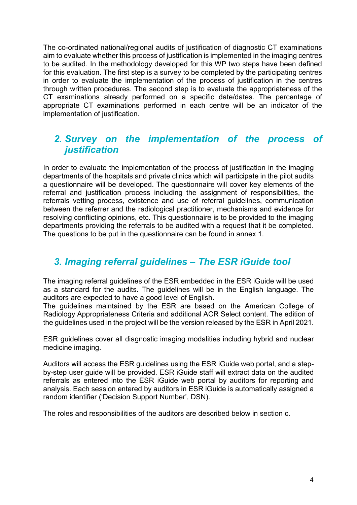The co-ordinated national/regional audits of justification of diagnostic CT examinations aim to evaluate whether this process of justification is implemented in the imaging centres to be audited. In the methodology developed for this WP two steps have been defined for this evaluation. The first step is a survey to be completed by the participating centres in order to evaluate the implementation of the process of justification in the centres through written procedures. The second step is to evaluate the appropriateness of the CT examinations already performed on a specific date/dates. The percentage of appropriate CT examinations performed in each centre will be an indicator of the implementation of justification.

## <span id="page-3-0"></span>*2. Survey on the implementation of the process of justification*

In order to evaluate the implementation of the process of justification in the imaging departments of the hospitals and private clinics which will participate in the pilot audits a questionnaire will be developed. The questionnaire will cover key elements of the referral and justification process including the assignment of responsibilities, the referrals vetting process, existence and use of referral guidelines, communication between the referrer and the radiological practitioner, mechanisms and evidence for resolving conflicting opinions, etc. This questionnaire is to be provided to the imaging departments providing the referrals to be audited with a request that it be completed. The questions to be put in the questionnaire can be found in annex 1.

## <span id="page-3-1"></span>*3. Imaging referral guidelines – The ESR iGuide tool*

The imaging referral guidelines of the ESR embedded in the ESR iGuide will be used as a standard for the audits. The guidelines will be in the English language. The auditors are expected to have a good level of English.

The guidelines maintained by the ESR are based on the American College of Radiology Appropriateness Criteria and additional ACR Select content. The edition of the guidelines used in the project will be the version released by the ESR in April 2021.

ESR guidelines cover all diagnostic imaging modalities including hybrid and nuclear medicine imaging.

Auditors will access the ESR guidelines using the ESR iGuide web portal, and a stepby-step user guide will be provided. ESR iGuide staff will extract data on the audited referrals as entered into the ESR iGuide web portal by auditors for reporting and analysis. Each session entered by auditors in ESR iGuide is automatically assigned a random identifier ('Decision Support Number', DSN).

The roles and responsibilities of the auditors are described below in section c.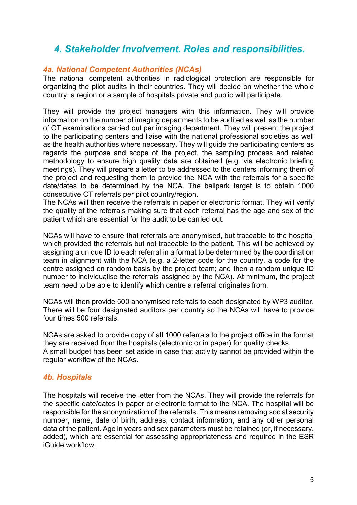## <span id="page-4-0"></span>*4. Stakeholder Involvement. Roles and responsibilities.*

#### <span id="page-4-1"></span>*4a. National Competent Authorities (NCAs)*

The national competent authorities in radiological protection are responsible for organizing the pilot audits in their countries. They will decide on whether the whole country, a region or a sample of hospitals private and public will participate.

They will provide the project managers with this information. They will provide information on the number of imaging departments to be audited as well as the number of CT examinations carried out per imaging department. They will present the project to the participating centers and liaise with the national professional societies as well as the health authorities where necessary. They will guide the participating centers as regards the purpose and scope of the project, the sampling process and related methodology to ensure high quality data are obtained (e.g. via electronic briefing meetings). They will prepare a letter to be addressed to the centers informing them of the project and requesting them to provide the NCA with the referrals for a specific date/dates to be determined by the NCA. The ballpark target is to obtain 1000 consecutive CT referrals per pilot country/region.

The NCAs will then receive the referrals in paper or electronic format. They will verify the quality of the referrals making sure that each referral has the age and sex of the patient which are essential for the audit to be carried out.

NCAs will have to ensure that referrals are anonymised, but traceable to the hospital which provided the referrals but not traceable to the patient. This will be achieved by assigning a unique ID to each referral in a format to be determined by the coordination team in alignment with the NCA (e.g. a 2-letter code for the country, a code for the centre assigned on random basis by the project team; and then a random unique ID number to individualise the referrals assigned by the NCA). At minimum, the project team need to be able to identify which centre a referral originates from.

NCAs will then provide 500 anonymised referrals to each designated by WP3 auditor. There will be four designated auditors per country so the NCAs will have to provide four times 500 referrals.

NCAs are asked to provide copy of all 1000 referrals to the project office in the format they are received from the hospitals (electronic or in paper) for quality checks. A small budget has been set aside in case that activity cannot be provided within the regular workflow of the NCAs.

#### <span id="page-4-2"></span>*4b. Hospitals*

The hospitals will receive the letter from the NCAs. They will provide the referrals for the specific date/dates in paper or electronic format to the NCA. The hospital will be responsible for the anonymization of the referrals. This means removing social security number, name, date of birth, address, contact information, and any other personal data of the patient. Age in years and sex parameters must be retained (or, if necessary, added), which are essential for assessing appropriateness and required in the ESR iGuide workflow.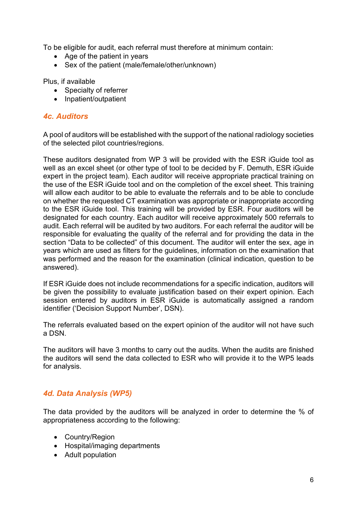To be eligible for audit, each referral must therefore at minimum contain:

- Age of the patient in years
- Sex of the patient (male/female/other/unknown)

Plus, if available

- Specialty of referrer
- Inpatient/outpatient

#### <span id="page-5-0"></span>*4c. Auditors*

A pool of auditors will be established with the support of the national radiology societies of the selected pilot countries/regions.

These auditors designated from WP 3 will be provided with the ESR iGuide tool as well as an excel sheet (or other type of tool to be decided by F. Demuth, ESR iGuide expert in the project team). Each auditor will receive appropriate practical training on the use of the ESR iGuide tool and on the completion of the excel sheet. This training will allow each auditor to be able to evaluate the referrals and to be able to conclude on whether the requested CT examination was appropriate or inappropriate according to the ESR iGuide tool. This training will be provided by ESR. Four auditors will be designated for each country. Each auditor will receive approximately 500 referrals to audit. Each referral will be audited by two auditors. For each referral the auditor will be responsible for evaluating the quality of the referral and for providing the data in the section "Data to be collected" of this document. The auditor will enter the sex, age in years which are used as filters for the guidelines, information on the examination that was performed and the reason for the examination (clinical indication, question to be answered).

If ESR iGuide does not include recommendations for a specific indication, auditors will be given the possibility to evaluate justification based on their expert opinion. Each session entered by auditors in ESR iGuide is automatically assigned a random identifier ('Decision Support Number', DSN).

The referrals evaluated based on the expert opinion of the auditor will not have such a DSN.

The auditors will have 3 months to carry out the audits. When the audits are finished the auditors will send the data collected to ESR who will provide it to the WP5 leads for analysis.

#### <span id="page-5-1"></span>*4d. Data Analysis (WP5)*

The data provided by the auditors will be analyzed in order to determine the % of appropriateness according to the following:

- Country/Region
- Hospital/imaging departments
- Adult population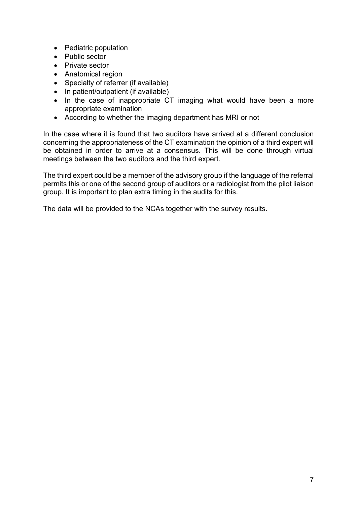- Pediatric population
- Public sector
- Private sector
- Anatomical region
- Specialty of referrer (if available)
- In patient/outpatient (if available)
- In the case of inappropriate CT imaging what would have been a more appropriate examination
- According to whether the imaging department has MRI or not

In the case where it is found that two auditors have arrived at a different conclusion concerning the appropriateness of the CT examination the opinion of a third expert will be obtained in order to arrive at a consensus. This will be done through virtual meetings between the two auditors and the third expert.

The third expert could be a member of the advisory group if the language of the referral permits this or one of the second group of auditors or a radiologist from the pilot liaison group. It is important to plan extra timing in the audits for this.

The data will be provided to the NCAs together with the survey results.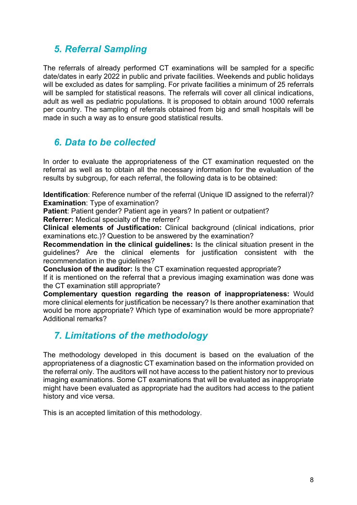## <span id="page-7-0"></span>*5. Referral Sampling*

The referrals of already performed CT examinations will be sampled for a specific date/dates in early 2022 in public and private facilities. Weekends and public holidays will be excluded as dates for sampling. For private facilities a minimum of 25 referrals will be sampled for statistical reasons. The referrals will cover all clinical indications, adult as well as pediatric populations. It is proposed to obtain around 1000 referrals per country. The sampling of referrals obtained from big and small hospitals will be made in such a way as to ensure good statistical results.

## <span id="page-7-1"></span>*6. Data to be collected*

In order to evaluate the appropriateness of the CT examination requested on the referral as well as to obtain all the necessary information for the evaluation of the results by subgroup, for each referral, the following data is to be obtained:

**Identification**: Reference number of the referral (Unique ID assigned to the referral)? **Examination**: Type of examination?

**Patient: Patient gender? Patient age in years? In patient or outpatient?** 

**Referrer:** Medical specialty of the referrer?

**Clinical elements of Justification:** Clinical background (clinical indications, prior examinations etc.)? Question to be answered by the examination?

**Recommendation in the clinical guidelines:** Is the clinical situation present in the guidelines? Are the clinical elements for justification consistent with the recommendation in the guidelines?

**Conclusion of the auditor:** Is the CT examination requested appropriate?

If it is mentioned on the referral that a previous imaging examination was done was the CT examination still appropriate?

**Complementary question regarding the reason of inappropriateness:** Would more clinical elements for justification be necessary? Is there another examination that would be more appropriate? Which type of examination would be more appropriate? Additional remarks?

## <span id="page-7-2"></span>*7. Limitations of the methodology*

The methodology developed in this document is based on the evaluation of the appropriateness of a diagnostic CT examination based on the information provided on the referral only. The auditors will not have access to the patient history nor to previous imaging examinations. Some CT examinations that will be evaluated as inappropriate might have been evaluated as appropriate had the auditors had access to the patient history and vice versa.

This is an accepted limitation of this methodology.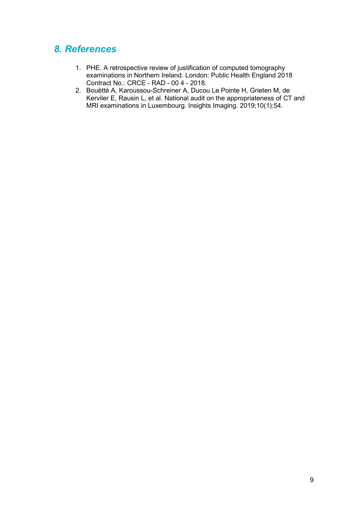## <span id="page-8-0"></span>*8. References*

- 1. PHE. A retrospective review of justification of computed tomography examinations in Northern Ireland. London: Public Health England 2018 Contract No.: CRCE - RAD - 00 4 - 2018.
- 2. Bouëtté A, Karoussou-Schreiner A, Ducou Le Pointe H, Grieten M, de Kerviler E, Rausin L, et al. National audit on the appropriateness of CT and MRI examinations in Luxembourg. Insights Imaging. 2019;10(1):54.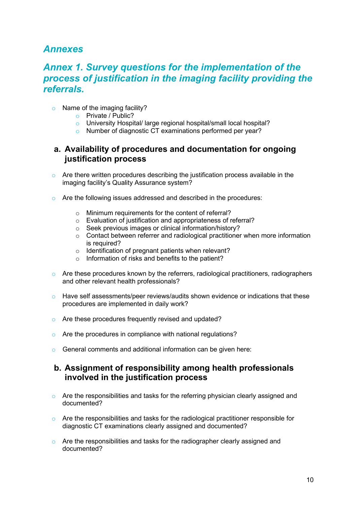## <span id="page-9-0"></span>*Annexes*

## <span id="page-9-1"></span>*Annex 1. Survey questions for the implementation of the process of justification in the imaging facility providing the referrals.*

- o Name of the imaging facility?
	- o Private / Public?
	- o University Hospital/ large regional hospital/small local hospital?<br>
	In Number of diagnostic CT examinations performed per vear?
	- Number of diagnostic CT examinations performed per year?

#### **a. Availability of procedures and documentation for ongoing justification process**

- o Are there written procedures describing the justification process available in the imaging facility's Quality Assurance system?
- o Are the following issues addressed and described in the procedures:
	- o Minimum requirements for the content of referral?
	- o Evaluation of justification and appropriateness of referral?
	- o Seek previous images or clinical information/history?
	- o Contact between referrer and radiological practitioner when more information is required?
	- o Identification of pregnant patients when relevant?
	- o Information of risks and benefits to the patient?
- o Are these procedures known by the referrers, radiological practitioners, radiographers and other relevant health professionals?
- $\circ$  Have self assessments/peer reviews/audits shown evidence or indications that these procedures are implemented in daily work?
- o Are these procedures frequently revised and updated?
- o Are the procedures in compliance with national regulations?
- o General comments and additional information can be given here:

#### **b. Assignment of responsibility among health professionals involved in the justification process**

- $\circ$  Are the responsibilities and tasks for the referring physician clearly assigned and documented?
- $\circ$  Are the responsibilities and tasks for the radiological practitioner responsible for diagnostic CT examinations clearly assigned and documented?
- $\circ$  Are the responsibilities and tasks for the radiographer clearly assigned and documented?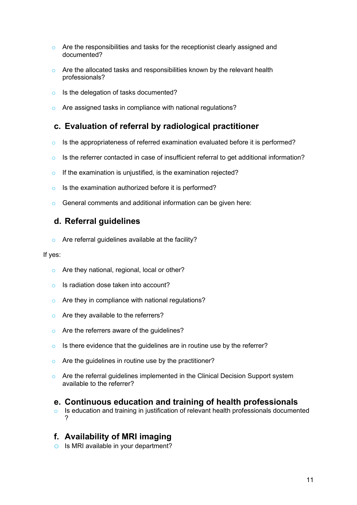- $\circ$  Are the responsibilities and tasks for the receptionist clearly assigned and documented?
- o Are the allocated tasks and responsibilities known by the relevant health professionals?
- o Is the delegation of tasks documented?
- o Are assigned tasks in compliance with national regulations?

## **c. Evaluation of referral by radiological practitioner**

- o Is the appropriateness of referred examination evaluated before it is performed?
- $\circ$  Is the referrer contacted in case of insufficient referral to get additional information?
- o If the examination is unjustified, is the examination rejected?
- Is the examination authorized before it is performed?
- o General comments and additional information can be given here:

## **d. Referral guidelines**

o Are referral guidelines available at the facility?

#### If yes:

- o Are they national, regional, local or other?
- o Is radiation dose taken into account?
- o Are they in compliance with national regulations?
- o Are they available to the referrers?
- o Are the referrers aware of the guidelines?
- $\circ$  Is there evidence that the quidelines are in routine use by the referrer?
- o Are the guidelines in routine use by the practitioner?
- o Are the referral guidelines implemented in the Clinical Decision Support system available to the referrer?

#### **e. Continuous education and training of health professionals**

o Is education and training in justification of relevant health professionals documented ?

## **f. Availability of MRI imaging**

o Is MRI available in your department?